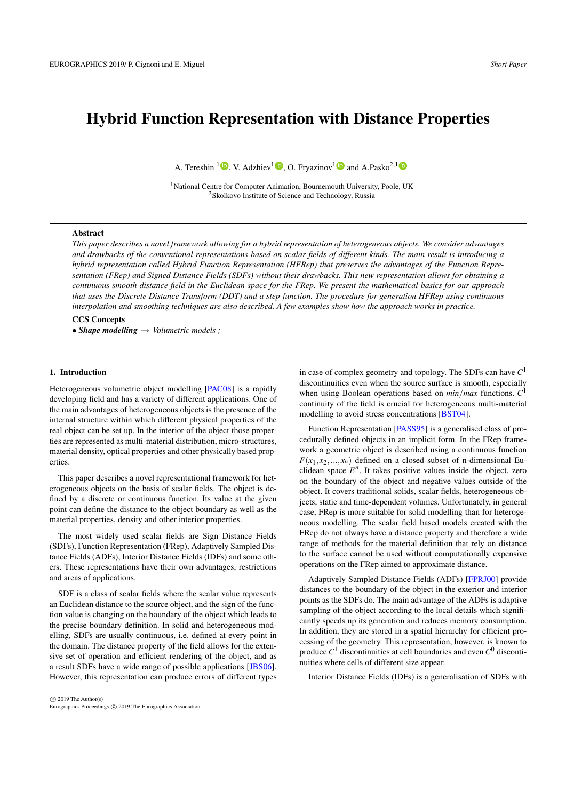# Hybrid Function Representation with Distance Properties

A. Tereshin  $\textsuperscript{1}\bullet$  $\textsuperscript{1}\bullet$  $\textsuperscript{1}\bullet$ [,](https://orcid.org/0000-0002-8447-7089) V. Adzhiev<sup>1</sup> $\textup{\textbullet}$ , O. Fryazinov<sup>1</sup> $\textup{\textbullet}$  and A.Pasko<sup>2,1</sup>

<sup>1</sup>National Centre for Computer Animation, Bournemouth University, Poole, UK <sup>2</sup>Skolkovo Institute of Science and Technology, Russia

#### Abstract

*This paper describes a novel framework allowing for a hybrid representation of heterogeneous objects. We consider advantages and drawbacks of the conventional representations based on scalar fields of different kinds. The main result is introducing a hybrid representation called Hybrid Function Representation (HFRep) that preserves the advantages of the Function Representation (FRep) and Signed Distance Fields (SDFs) without their drawbacks. This new representation allows for obtaining a continuous smooth distance field in the Euclidean space for the FRep. We present the mathematical basics for our approach that uses the Discrete Distance Transform (DDT) and a step-function. The procedure for generation HFRep using continuous interpolation and smoothing techniques are also described. A few examples show how the approach works in practice.*

# CCS Concepts

• *Shape modelling* → *Volumetric models ;*

# 1. Introduction

Heterogeneous volumetric object modelling [\[PAC08\]](#page-3-0) is a rapidly developing field and has a variety of different applications. One of the main advantages of heterogeneous objects is the presence of the internal structure within which different physical properties of the real object can be set up. In the interior of the object those properties are represented as multi-material distribution, micro-structures, material density, optical properties and other physically based properties.

This paper describes a novel representational framework for heterogeneous objects on the basis of scalar fields. The object is defined by a discrete or continuous function. Its value at the given point can define the distance to the object boundary as well as the material properties, density and other interior properties.

The most widely used scalar fields are Sign Distance Fields (SDFs), Function Representation (FRep), Adaptively Sampled Distance Fields (ADFs), Interior Distance Fields (IDFs) and some others. These representations have their own advantages, restrictions and areas of applications.

SDF is a class of scalar fields where the scalar value represents an Euclidean distance to the source object, and the sign of the function value is changing on the boundary of the object which leads to the precise boundary definition. In solid and heterogeneous modelling, SDFs are usually continuous, i.e. defined at every point in the domain. The distance property of the field allows for the extensive set of operation and efficient rendering of the object, and as a result SDFs have a wide range of possible applications [\[JBS06\]](#page-3-1). However, this representation can produce errors of different types

in case of complex geometry and topology. The SDFs can have *C* 1 discontinuities even when the source surface is smooth, especially when using Boolean operations based on *min*/*max* functions. *C* 1 continuity of the field is crucial for heterogeneous multi-material modelling to avoid stress concentrations [\[BST04\]](#page-3-2).

Function Representation [\[PASS95\]](#page-3-3) is a generalised class of procedurally defined objects in an implicit form. In the FRep framework a geometric object is described using a continuous function  $F(x_1, x_2, \ldots, x_n)$  defined on a closed subset of n-dimensional Euclidean space  $E^n$ . It takes positive values inside the object, zero on the boundary of the object and negative values outside of the object. It covers traditional solids, scalar fields, heterogeneous objects, static and time-dependent volumes. Unfortunately, in general case, FRep is more suitable for solid modelling than for heterogeneous modelling. The scalar field based models created with the FRep do not always have a distance property and therefore a wide range of methods for the material definition that rely on distance to the surface cannot be used without computationally expensive operations on the FRep aimed to approximate distance.

Adaptively Sampled Distance Fields (ADFs) [\[FPRJ00\]](#page-3-4) provide distances to the boundary of the object in the exterior and interior points as the SDFs do. The main advantage of the ADFs is adaptive sampling of the object according to the local details which significantly speeds up its generation and reduces memory consumption. In addition, they are stored in a spatial hierarchy for efficient processing of the geometry. This representation, however, is known to produce  $C^1$  discontinuities at cell boundaries and even  $C^0$  discontinuities where cells of different size appear.

Interior Distance Fields (IDFs) is a generalisation of SDFs with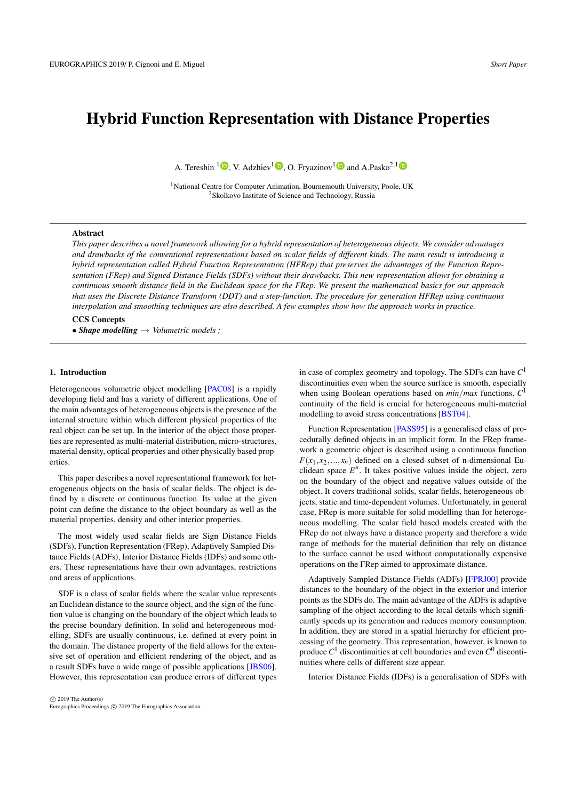

<span id="page-1-0"></span>Figure 1: *The zoomed regions of the DDT field obtained for the FRep defined character. Left image: the result of calculating the sparse DDT on the grid*  $128 \times 128$  *points. Right picture: a) the zoomed region of the sparse DDT after applying the bicubic interpolation to it, the final grid is*  $512 \times 512$  *points, b) the zoomed region of the DDT obtained on the grid*  $512 \times 512$  *points.* 

different metrics such as geodesic on the surface of the source object or an intrinsic distance inside the object. This type of distance fields can be used for setting up material distribution inside the object [\[FSP15\]](#page-3-5) and also provides a precise boundary definition. At the same time, they are more computationally expensive than other representations.

All the mentioned representations have their advantages and drawbacks. In this work we introduce a theoretical framework based on a novel object representation called Hybrid FRep (HFRep). It is based on combining of different scalar field representations and aims to unify their advantages and compensate for their drawbacks. In this paper we focus on two representations discussed above, namely the FRep and the SDF, because SDFs allow for efficient material modelling inside the object, whilst FRep provides smoothness of the unified representation. We will show that the HFRep allows for obtaining both discrete and continuous distance properties of the resulting field and provides the distance properties. In the next sections we will describe how the HFRep representation is defined.

#### 2. Hybrid Function Representation

Let us give the exact problem statement: for the given shape it is essential to obtain a real function with (1) sufficiently accurate distance property approximation everywhere in Euclidean space without  $C^0$  and  $C^1$  discontinuities anywhere, (2) with exact zero values only at the object boundary and (3) changing its sign on the boundary. Let us outline the solution that combines two representations, namely the SDF and the FRep, of the same object specifically taking advantage of both SDF's distance property and FRep's continuity for the defining function.

Let the object *O* be defined using the FRep defining function with the equation  $F(x_1, x_2, ..., x_n) \geq 0$ . First, we use the Discrete Distance Transform (DDT) to obtain a distance field  $dist_O(P)$  in a finite set of points by calculating the unsigned distance to the surface of FRep object in these points. Then, we convert this dis-



<span id="page-1-2"></span>Figure 2: *Plots of two sigmoid functions which coincide: hyperbolic tangent sigmoid and hyperbolic tangent with according slope values s<sub>l</sub></sub>. Red line:*  $S_{sig}(x)$ ,  $s_l = 10^{-4}$  or  $S_{tgh}(x)$ ,  $s_l = 10^{4}$ . Blue *line:*  $S_{sig}(x)$ ,  $s_l = 10^{-5}$  or  $S_{tgh}(x)$ ,  $s_l = 10^6$ .

crete distance field into a continuous field by using the appropriate smoothing operations. Finally, to obtain the sign for the DDT we use the step-function  $S(x)$ , the values *x* of which are calculated using the FRep field. Therefore HFRep can be defined as

<span id="page-1-1"></span>
$$
F_h(x_1, x_2, ..., x_n) = S(F(x_1, x_2, ..., x_n)) \cdot dist_O(P)
$$
 (1)

# 2.1. Distance Transform

The operation which allows for obtaining the distance property for an arbitrary scalar field is called the distance transform. Formally, it is a mapping from one scalar field *F* into another scalar field *D* such that  $D(\mathbf{x}) = \inf_{p: F(\mathbf{p}=0)} |\mathbf{x} - \mathbf{p}|$ . The distance obtained by distance transform is usually unsigned.

In a general case, to get the distance transform for an arbitrary object represented by the FRep can be problematic because the boundary of the object is not explicit. There are various methods to tackle this problem, some of them are more precise in terms of the obtained distance values, and some being more computationally efficient. For example, the distance can be calculated by numerically solving re-initialisation equation [\[SSO94\]](#page-3-6). However, that method is quite inefficient when the distance needs to be computed in a large number of points. Therefore in practice, many methods use the Discrete Distance Transform (DDT) as a more efficient alternative. In this case, the value of the field is calculated on a regular grid by multiple traversing distance values in it to obtain the final approximation of an Euclidean distance to the approximated surface. Note that the Discrete Distance Transform results in a distance to the object computed with a certain tolerance and cannot be considered as an exact operation.

The field obtained after applying the DDT is a discrete field, as it is calculated in a finite set of points, normally on a regular grid. To obtain the continuous function, interpolation techniques should be used. In our method, we use the cubic spline interpolation applied to the appropriate domain. Thus, in 2D we interpolate values of the sparse grid with a bicubic interpolation [\[Kno00\]](#page-3-7) which allows for producing accurate results for a smooth continuous function while being easy to compute (see Fig. [1\)](#page-1-0).